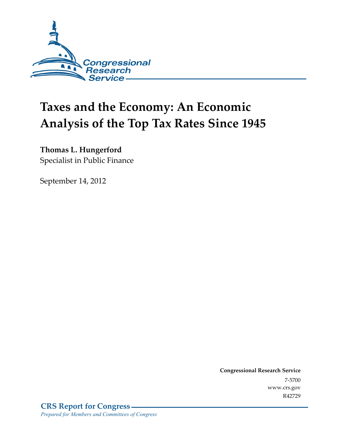

# **Taxes and the Economy: An Economic Analysis of the Top Tax Rates Since 1945**

**Thomas L. Hungerford** 

Specialist in Public Finance

September 14, 2012

**Congressional Research Service**  7-5700 www.crs.gov R42729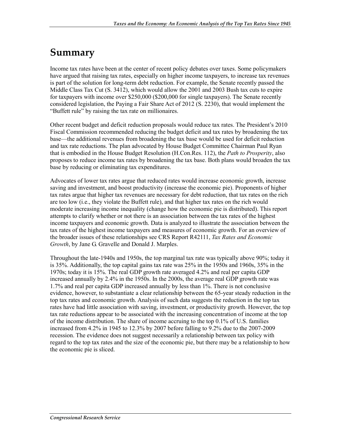## **Summary**

Income tax rates have been at the center of recent policy debates over taxes. Some policymakers have argued that raising tax rates, especially on higher income taxpayers, to increase tax revenues is part of the solution for long-term debt reduction. For example, the Senate recently passed the Middle Class Tax Cut (S. 3412), which would allow the 2001 and 2003 Bush tax cuts to expire for taxpayers with income over \$250,000 (\$200,000 for single taxpayers). The Senate recently considered legislation, the Paying a Fair Share Act of 2012 (S. 2230), that would implement the "Buffett rule" by raising the tax rate on millionaires.

Other recent budget and deficit reduction proposals would reduce tax rates. The President's 2010 Fiscal Commission recommended reducing the budget deficit and tax rates by broadening the tax base—the additional revenues from broadening the tax base would be used for deficit reduction and tax rate reductions. The plan advocated by House Budget Committee Chairman Paul Ryan that is embodied in the House Budget Resolution (H.Con.Res. 112), the *Path to Prosperity*, also proposes to reduce income tax rates by broadening the tax base. Both plans would broaden the tax base by reducing or eliminating tax expenditures.

Advocates of lower tax rates argue that reduced rates would increase economic growth, increase saving and investment, and boost productivity (increase the economic pie). Proponents of higher tax rates argue that higher tax revenues are necessary for debt reduction, that tax rates on the rich are too low (i.e., they violate the Buffett rule), and that higher tax rates on the rich would moderate increasing income inequality (change how the economic pie is distributed). This report attempts to clarify whether or not there is an association between the tax rates of the highest income taxpayers and economic growth. Data is analyzed to illustrate the association between the tax rates of the highest income taxpayers and measures of economic growth. For an overview of the broader issues of these relationships see CRS Report R42111, *Tax Rates and Economic Growth*, by Jane G. Gravelle and Donald J. Marples.

Throughout the late-1940s and 1950s, the top marginal tax rate was typically above 90%; today it is 35%. Additionally, the top capital gains tax rate was 25% in the 1950s and 1960s, 35% in the 1970s; today it is 15%. The real GDP growth rate averaged 4.2% and real per capita GDP increased annually by 2.4% in the 1950s. In the 2000s, the average real GDP growth rate was 1.7% and real per capita GDP increased annually by less than 1%. There is not conclusive evidence, however, to substantiate a clear relationship between the 65-year steady reduction in the top tax rates and economic growth. Analysis of such data suggests the reduction in the top tax rates have had little association with saving, investment, or productivity growth. However, the top tax rate reductions appear to be associated with the increasing concentration of income at the top of the income distribution. The share of income accruing to the top 0.1% of U.S. families increased from 4.2% in 1945 to 12.3% by 2007 before falling to 9.2% due to the 2007-2009 recession. The evidence does not suggest necessarily a relationship between tax policy with regard to the top tax rates and the size of the economic pie, but there may be a relationship to how the economic pie is sliced.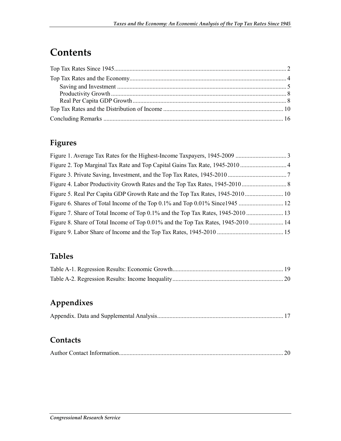### **Contents**

### **Figures**

| Figure 7. Share of Total Income of Top 0.1% and the Top Tax Rates, 1945-2010      |  |
|-----------------------------------------------------------------------------------|--|
| Figure 8. Share of Total Income of Top 0.01% and the Top Tax Rates, 1945-2010  14 |  |
|                                                                                   |  |

#### **Tables**

### **Appendixes**

#### **Contacts**

|--|--|--|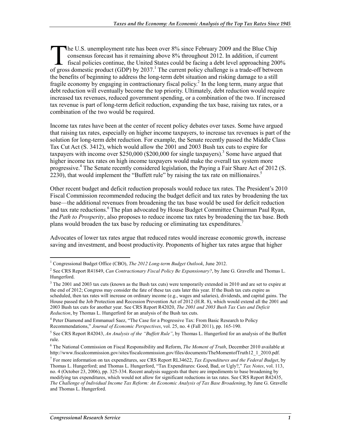he U.S. unemployment rate has been over 8% since February 2009 and the Blue Chip consensus forecast has it remaining above 8% throughout 2012. In addition, if current fiscal policies continue, the United States could be facing a debt level approaching 200% The U.S. unemployment rate has been over 8% since February 2009 and the Blue Chip consensus forecast has it remaining above 8% throughout 2012. In addition, if current fiscal policies continue, the United States could be f the benefits of beginning to address the long-term debt situation and risking damage to a still fragile economy by engaging in contractionary fiscal policy.<sup>2</sup> In the long term, many argue that debt reduction will eventually become the top priority. Ultimately, debt reduction would require increased tax revenues, reduced government spending, or a combination of the two. If increased tax revenue is part of long-term deficit reduction, expanding the tax base, raising tax rates, or a combination of the two would be required.

Income tax rates have been at the center of recent policy debates over taxes. Some have argued that raising tax rates, especially on higher income taxpayers, to increase tax revenues is part of the solution for long-term debt reduction. For example, the Senate recently passed the Middle Class Tax Cut Act (S. 3412), which would allow the 2001 and 2003 Bush tax cuts to expire for taxpayers with income over \$250,000 (\$200,000 for single taxpayers).<sup>3</sup> Some have argued that higher income tax rates on high income taxpayers would make the overall tax system more progressive.<sup>4</sup> The Senate recently considered legislation, the Paying a Fair Share Act of 2012 (S.  $2230$ ), that would implement the "Buffett rule" by raising the tax rate on millionaires.<sup>5</sup>

Other recent budget and deficit reduction proposals would reduce tax rates. The President's 2010 Fiscal Commission recommended reducing the budget deficit and tax rates by broadening the tax base—the additional revenues from broadening the tax base would be used for deficit reduction and tax rate reductions.<sup>6</sup> The plan advocated by House Budget Committee Chairman Paul Ryan, the *Path to Prosperity*, also proposes to reduce income tax rates by broadening the tax base. Both plans would broaden the tax base by reducing or eliminating tax expenditures.<sup>7</sup>

Advocates of lower tax rates argue that reduced rates would increase economic growth, increase saving and investment, and boost productivity. Proponents of higher tax rates argue that higher

 1 Congressional Budget Office (CBO), *The 2012 Long-term Budget Outlook*, June 2012.

<sup>2</sup> See CRS Report R41849, *Can Contractionary Fiscal Policy Be Expansionary?*, by Jane G. Gravelle and Thomas L. Hungerford.

 $3$  The 2001 and 2003 tax cuts (known as the Bush tax cuts) were temporarily extended in 2010 and are set to expire at the end of 2012; Congress may consider the fate of these tax cuts later this year. If the Bush tax cuts expire as scheduled, then tax rates will increase on ordinary income (e.g., wages and salaries), dividends, and capital gains. The House passed the Job Protection and Recession Prevention Act of 2012 (H.R. 8), which would extend all the 2001 and 2003 Bush tax cuts for another year. See CRS Report R42020, *The 2001 and 2003 Bush Tax Cuts and Deficit Reduction*, by Thomas L. Hungerford for an analysis of the Bush tax cuts.

<sup>&</sup>lt;sup>4</sup> Peter Diamond and Emmanuel Saez, "The Case for a Progressive Tax: From Basic Research to Policy Recommendations," *Journal of Economic Perspectives*, vol. 25, no. 4 (Fall 2011), pp. 165-190.

<sup>5</sup> See CRS Report R42043, *An Analysis of the "Buffett Rule"*, by Thomas L. Hungerford for an analysis of the Buffett rule.

<sup>6</sup> The National Commission on Fiscal Responsibility and Reform, *The Moment of Truth*, December 2010 available at http://www.fiscalcommission.gov/sites/fiscalcommission.gov/files/documents/TheMomentofTruth12\_1\_2010.pdf.

<sup>7</sup> For more information on tax expenditures, see CRS Report RL34622, *Tax Expenditures and the Federal Budget*, by Thomas L. Hungerford; and Thomas L. Hungerford, "Tax Expenditures: Good, Bad, or Ugly?," *Tax Notes*, vol. 113, no. 4 (October 23, 2006), pp. 325-334. Recent analysis suggests that there are impediments to base broadening by modifying tax expenditures, which would not allow for significant reductions in tax rates. See CRS Report R42435, *The Challenge of Individual Income Tax Reform: An Economic Analysis of Tax Base Broadening*, by Jane G. Gravelle and Thomas L. Hungerford.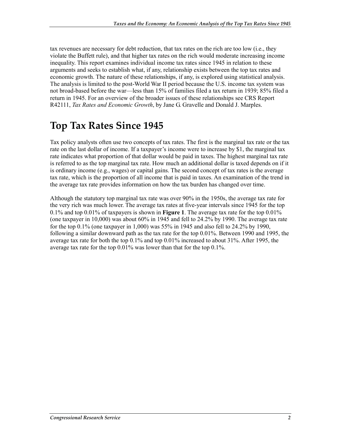tax revenues are necessary for debt reduction, that tax rates on the rich are too low (i.e., they violate the Buffett rule), and that higher tax rates on the rich would moderate increasing income inequality. This report examines individual income tax rates since 1945 in relation to these arguments and seeks to establish what, if any, relationship exists between the top tax rates and economic growth. The nature of these relationships, if any, is explored using statistical analysis. The analysis is limited to the post-World War II period because the U.S. income tax system was not broad-based before the war—less than 15% of families filed a tax return in 1939; 85% filed a return in 1945. For an overview of the broader issues of these relationships see CRS Report R42111, *Tax Rates and Economic Growth*, by Jane G. Gravelle and Donald J. Marples.

## **Top Tax Rates Since 1945**

Tax policy analysts often use two concepts of tax rates. The first is the marginal tax rate or the tax rate on the last dollar of income. If a taxpayer's income were to increase by \$1, the marginal tax rate indicates what proportion of that dollar would be paid in taxes. The highest marginal tax rate is referred to as the top marginal tax rate. How much an additional dollar is taxed depends on if it is ordinary income (e.g., wages) or capital gains. The second concept of tax rates is the average tax rate, which is the proportion of all income that is paid in taxes. An examination of the trend in the average tax rate provides information on how the tax burden has changed over time.

Although the statutory top marginal tax rate was over 90% in the 1950s, the average tax rate for the very rich was much lower. The average tax rates at five-year intervals since 1945 for the top 0.1% and top 0.01% of taxpayers is shown in **Figure 1**. The average tax rate for the top 0.01% (one taxpayer in 10,000) was about 60% in 1945 and fell to 24.2% by 1990. The average tax rate for the top 0.1% (one taxpayer in 1,000) was 55% in 1945 and also fell to 24.2% by 1990, following a similar downward path as the tax rate for the top 0.01%. Between 1990 and 1995, the average tax rate for both the top 0.1% and top 0.01% increased to about 31%. After 1995, the average tax rate for the top 0.01% was lower than that for the top 0.1%.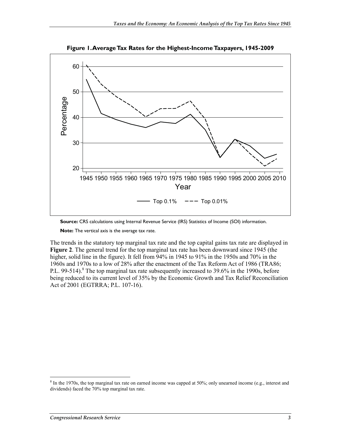

**Figure 1. Average Tax Rates for the Highest-Income Taxpayers, 1945-2009** 

**Source:** CRS calculations using Internal Revenue Service (IRS) Statistics of Income (SOI) information.

**Note:** The vertical axis is the average tax rate.

The trends in the statutory top marginal tax rate and the top capital gains tax rate are displayed in **Figure 2**. The general trend for the top marginal tax rate has been downward since 1945 (the higher, solid line in the figure). It fell from 94% in 1945 to 91% in the 1950s and 70% in the 1960s and 1970s to a low of 28% after the enactment of the Tax Reform Act of 1986 (TRA86; P.L. 99-514).<sup>8</sup> The top marginal tax rate subsequently increased to 39.6% in the 1990s, before being reduced to its current level of 35% by the Economic Growth and Tax Relief Reconciliation Act of 2001 (EGTRRA; P.L. 107-16).

<sup>&</sup>lt;sup>8</sup> In the 1970s, the top marginal tax rate on earned income was capped at 50%; only unearned income (e.g., interest and dividends) faced the 70% top marginal tax rate.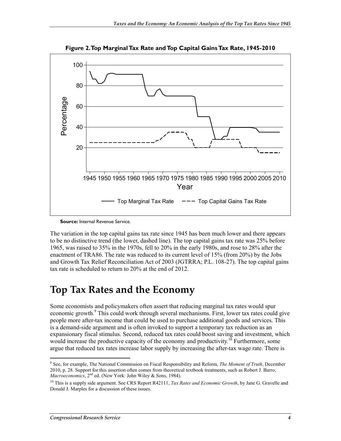

**Figure 2. Top Marginal Tax Rate and Top Capital Gains Tax Rate, 1945-2010** 

**Source:** Internal Revenue Service.

The variation in the top capital gains tax rate since 1945 has been much lower and there appears to be no distinctive trend (the lower, dashed line). The top capital gains tax rate was 25% before 1965, was raised to 35% in the 1970s, fell to 20% in the early 1980s, and rose to 28% after the enactment of TRA86. The rate was reduced to its current level of 15% (from 20%) by the Jobs and Growth Tax Relief Reconciliation Act of 2003 (JGTRRA; P.L. 108-27). The top capital gains tax rate is scheduled to return to 20% at the end of 2012.

### **Top Tax Rates and the Economy**

Some economists and policymakers often assert that reducing marginal tax rates would spur economic growth.<sup>9</sup> This could work through several mechanisms. First, lower tax rates could give people more after-tax income that could be used to purchase additional goods and services. This is a demand-side argument and is often invoked to support a temporary tax reduction as an expansionary fiscal stimulus. Second, reduced tax rates could boost saving and investment, which would increase the productive capacity of the economy and productivity.<sup>10</sup> Furthermore, some argue that reduced tax rates increase labor supply by increasing the after-tax wage rate. There is

<sup>1</sup> 9 See, for example, The National Commission on Fiscal Responsibility and Reform, *The Moment of Truth*, December 2010, p. 28. Support for this assertion often comes from theoretical textbook treatments, such as Robert J. Barro, *Macroeconomics*, 2<sup>nd</sup> ed. (New York: John Wiley & Sons, 1984).

<sup>&</sup>lt;sup>10</sup> This is a supply side argument. See CRS Report R42111, *Tax Rates and Economic Growth*, by Jane G. Gravelle and Donald J. Marples for a discussion of these issues.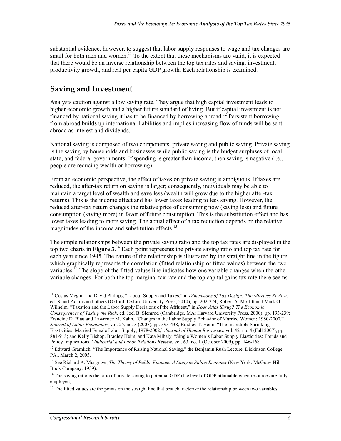substantial evidence, however, to suggest that labor supply responses to wage and tax changes are small for both men and women.<sup>11</sup> To the extent that these mechanisms are valid, it is expected that there would be an inverse relationship between the top tax rates and saving, investment, productivity growth, and real per capita GDP growth. Each relationship is examined.

#### **Saving and Investment**

Analysts caution against a low saving rate. They argue that high capital investment leads to higher economic growth and a higher future standard of living. But if capital investment is not financed by national saving it has to be financed by borrowing abroad.<sup>12</sup> Persistent borrowing from abroad builds up international liabilities and implies increasing flow of funds will be sent abroad as interest and dividends.

National saving is composed of two components: private saving and public saving. Private saving is the saving by households and businesses while public saving is the budget surpluses of local, state, and federal governments. If spending is greater than income, then saving is negative (i.e., people are reducing wealth or borrowing).

From an economic perspective, the effect of taxes on private saving is ambiguous. If taxes are reduced, the after-tax return on saving is larger; consequently, individuals may be able to maintain a target level of wealth and save less (wealth will grow due to the higher after-tax returns). This is the income effect and has lower taxes leading to less saving. However, the reduced after-tax return changes the relative price of consuming now (saving less) and future consumption (saving more) in favor of future consumption. This is the substitution effect and has lower taxes leading to more saving. The actual effect of a tax reduction depends on the relative magnitudes of the income and substitution effects.<sup>13</sup>

The simple relationships between the private saving ratio and the top tax rates are displayed in the top two charts in **Figure 3**. 14 Each point represents the private saving ratio and top tax rate for each year since 1945. The nature of the relationship is illustrated by the straight line in the figure, which graphically represents the correlation (fitted relationship or fitted values) between the two variables.<sup>15</sup> The slope of the fitted values line indicates how one variable changes when the other variable changes. For both the top marginal tax rate and the top capital gains tax rate there seems

<sup>&</sup>lt;u>.</u> 11 Costas Meghir and David Phillips, "Labour Supply and Taxes," in *Dimensions of Tax Design: The Mirrlees Review*, ed. Stuart Adams and others (Oxford: Oxford University Press, 2010), pp. 202-274; Robert A. Moffitt and Mark O. Wilhelm, "Taxation and the Labor Supply Decisions of the Affluent," in *Does Atlas Shrug? The Economic Consequences of Taxing the Rich*, ed. Joel B. Slemrod (Cambridge, MA: Harvard University Press, 2000), pp. 193-239; Francine D. Blau and Lawrence M. Kahn, "Changes in the Labor Supply Behavior of Married Women: 1980-2000," *Journal of Labor Economics*, vol. 25, no. 3 (2007), pp. 393-438; Bradley T. Heim, "The Incredible Shrinking Elasticities: Married Female Labor Supply, 1978-2002," *Journal of Human Resources*, vol. 42, no. 4 (Fall 2007), pp. 881-918; and Kelly Bishop, Bradley Heim, and Kata Mihaly, "Single Women's Labor Supply Elasticities: Trends and Policy Implications," *Industrial and Labor Relations Review*, vol. 63, no. 1 (October 2009), pp. 146-168.

<sup>&</sup>lt;sup>12</sup> Edward Gramlich, "The Importance of Raising National Saving," the Benjamin Rush Lecture, Dickinson College, PA., March 2, 2005.

<sup>13</sup> See Richard A. Musgrave, *The Theory of Public Finance: A Study in Public Economy* (New York: McGraw-Hill Book Company, 1959).

<sup>&</sup>lt;sup>14</sup> The saving ratio is the ratio of private saving to potential GDP (the level of GDP attainable when resources are fully employed).

 $<sup>15</sup>$  The fitted values are the points on the straight line that best characterize the relationship between two variables.</sup>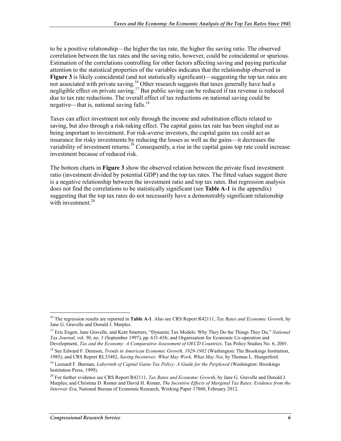to be a positive relationship—the higher the tax rate, the higher the saving ratio. The observed correlation between the tax rates and the saving ratio, however, could be coincidental or spurious. Estimation of the correlations controlling for other factors affecting saving and paying particular attention to the statistical properties of the variables indicates that the relationship observed in **Figure 3** is likely coincidental (and not statistically significant)—suggesting the top tax rates are not associated with private saving.<sup>16</sup> Other research suggests that taxes generally have had a negligible effect on private saving.<sup>17</sup> But public saving can be reduced if tax revenue is reduced due to tax rate reductions. The overall effect of tax reductions on national saving could be negative—that is, national saving falls.<sup>18</sup>

Taxes can affect investment not only through the income and substitution effects related to saving, but also through a risk-taking effect. The capital gains tax rate has been singled out as being important to investment. For risk-averse investors, the capital gains tax could act as insurance for risky investments by reducing the losses as well as the gains—it decreases the variability of investment returns.<sup>19</sup> Consequently, a rise in the capital gains top rate could increase investment because of reduced risk.

The bottom charts in **Figure 3** show the observed relation between the private fixed investment ratio (investment divided by potential GDP) and the top tax rates. The fitted values suggest there is a negative relationship between the investment ratio and top tax rates. But regression analysis does not find the correlations to be statistically significant (see **Table A-1** in the appendix) suggesting that the top tax rates do not necessarily have a demonstrably significant relationship with investment.<sup>20</sup>

<sup>16</sup> The regression results are reported in **Table A-1**. Also see CRS Report R42111, *Tax Rates and Economic Growth*, by Jane G. Gravelle and Donald J. Marples.

<sup>17</sup> Eric Engen, Jane Gravelle, and Kent Smetters, "Dynamic Tax Models: Why They Do the Things They Do," *National Tax Journal*, vol. 50, no. 3 (September 1997), pp. 631-656; and Organisation for Economic Co-operation and

Development, *Tax and the Economy: A Comparative Assessment of OECD Countries*, Tax Policy Studies No. 6, 2001. 18 See Edward F. Denison, *Trends in American Economic Growth, 1929-1982* (Washington: The Brookings Institution, 1985); and CRS Report RL33482, *Saving Incentives: What May Work, What May Not*, by Thomas L. Hungerford.

<sup>19</sup> Leonard F. Burman, *Labyrinth of Capital Gains Tax Policy: A Guide for the Perplexed* (Washington: Brookings Institution Press, 1999).

<sup>20</sup> For further evidence see CRS Report R42111, *Tax Rates and Economic Growth*, by Jane G. Gravelle and Donald J. Marples; and Christina D. Romer and David H. Romer, *The Incentive Effects of Marginal Tax Rates: Evidence from the Interwar Era*, National Bureau of Economic Research, Working Paper 17860, February 2012.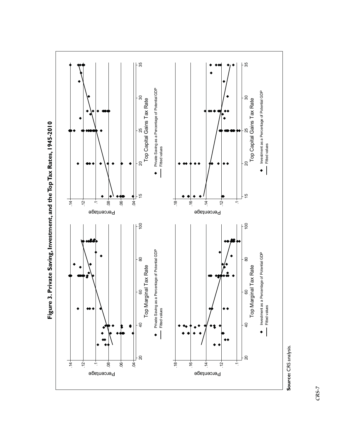



*CRS-7*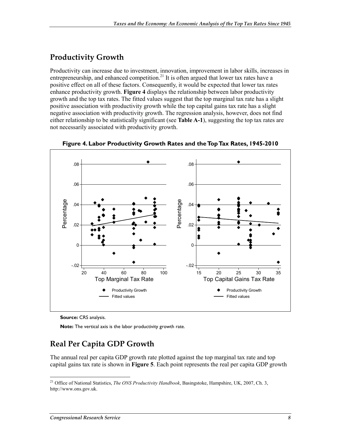#### **Productivity Growth**

Productivity can increase due to investment, innovation, improvement in labor skills, increases in entrepreneurship, and enhanced competition.<sup>21</sup> It is often argued that lower tax rates have a positive effect on all of these factors. Consequently, it would be expected that lower tax rates enhance productivity growth. **Figure 4** displays the relationship between labor productivity growth and the top tax rates. The fitted values suggest that the top marginal tax rate has a slight positive association with productivity growth while the top capital gains tax rate has a slight negative association with productivity growth. The regression analysis, however, does not find either relationship to be statistically significant (see **Table A-1**), suggesting the top tax rates are not necessarily associated with productivity growth.



**Figure 4. Labor Productivity Growth Rates and the Top Tax Rates, 1945-2010** 

**Source:** CRS analysis.

**Note:** The vertical axis is the labor productivity growth rate.

#### **Real Per Capita GDP Growth**

The annual real per capita GDP growth rate plotted against the top marginal tax rate and top capital gains tax rate is shown in **Figure 5**. Each point represents the real per capita GDP growth

<sup>21</sup> Office of National Statistics, *The ONS Productivity Handbook*, Basingstoke, Hampshire, UK, 2007, Ch. 3, http://www.ons.gov.uk.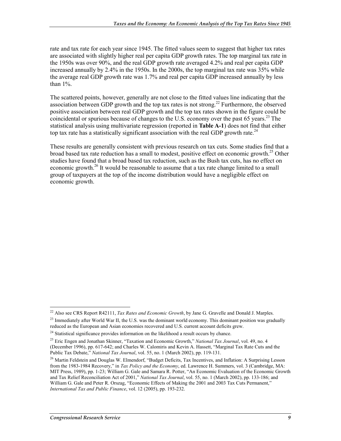rate and tax rate for each year since 1945. The fitted values seem to suggest that higher tax rates are associated with slightly higher real per capita GDP growth rates. The top marginal tax rate in the 1950s was over 90%, and the real GDP growth rate averaged 4.2% and real per capita GDP increased annually by 2.4% in the 1950s. In the 2000s, the top marginal tax rate was 35% while the average real GDP growth rate was 1.7% and real per capita GDP increased annually by less than 1%.

The scattered points, however, generally are not close to the fitted values line indicating that the association between GDP growth and the top tax rates is not strong.<sup>22</sup> Furthermore, the observed positive association between real GDP growth and the top tax rates shown in the figure could be coincidental or spurious because of changes to the U.S. economy over the past 65 years.<sup>23</sup> The statistical analysis using multivariate regression (reported in **Table A-1**) does not find that either top tax rate has a statistically significant association with the real GDP growth rate.<sup>24</sup>

These results are generally consistent with previous research on tax cuts. Some studies find that a broad based tax rate reduction has a small to modest, positive effect on economic growth.<sup>25</sup> Other studies have found that a broad based tax reduction, such as the Bush tax cuts, has no effect on economic growth.<sup>26</sup> It would be reasonable to assume that a tax rate change limited to a small group of taxpayers at the top of the income distribution would have a negligible effect on economic growth.

<u>.</u>

<sup>22</sup> Also see CRS Report R42111, *Tax Rates and Economic Growth*, by Jane G. Gravelle and Donald J. Marples.

 $^{23}$  Immediately after World War II, the U.S. was the dominant world economy. This dominant position was gradually reduced as the European and Asian economies recovered and U.S. current account deficits grew.

<sup>&</sup>lt;sup>24</sup> Statistical significance provides information on the likelihood a result occurs by chance.

<sup>25</sup> Eric Engen and Jonathan Skinner, "Taxation and Economic Growth," *National Tax Journal*, vol. 49, no. 4 (December 1996), pp. 617-642; and Charles W. Calomiris and Kevin A. Hassett, "Marginal Tax Rate Cuts and the Public Tax Debate," *National Tax Journal*, vol. 55, no. 1 (March 2002), pp. 119-131.

<sup>&</sup>lt;sup>26</sup> Martin Feldstein and Douglas W. Elmendorf, "Budget Deficits, Tax Incentives, and Inflation: A Surprising Lesson from the 1983-1984 Recovery," in *Tax Policy and the Economy*, ed. Lawrence H. Summers, vol. 3 (Cambridge, MA: MIT Press, 1989), pp. 1-23; William G. Gale and Samara R. Potter, "An Economic Evaluation of the Economic Growth and Tax Relief Reconciliation Act of 2001," *National Tax Journal*, vol. 55, no. 1 (March 2002), pp. 133-186; and William G. Gale and Peter R. Orszag, "Economic Effects of Making the 2001 and 2003 Tax Cuts Permanent," *International Tax and Public Finance*, vol. 12 (2005), pp. 193-232.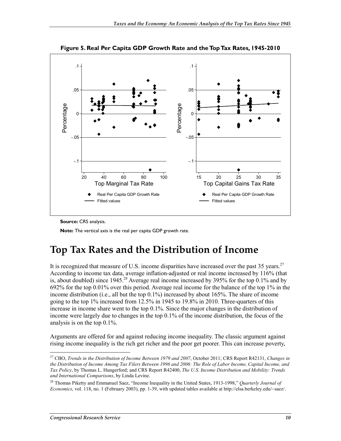

**Figure 5. Real Per Capita GDP Growth Rate and the Top Tax Rates, 1945-2010** 

**Source:** CRS analysis.

**Note:** The vertical axis is the real per capita GDP growth rate.

### **Top Tax Rates and the Distribution of Income**

It is recognized that measure of U.S. income disparities have increased over the past 35 years.<sup>27</sup> According to income tax data, average inflation-adjusted or real income increased by 116% (that is, about doubled) since 1945.<sup>28</sup> Average real income increased by 395% for the top  $0.1\%$  and by 692% for the top 0.01% over this period. Average real income for the balance of the top 1% in the income distribution (i.e., all but the top 0.1%) increased by about 165%. The share of income going to the top 1% increased from 12.5% in 1945 to 19.8% in 2010. Three-quarters of this increase in income share went to the top 0.1%. Since the major changes in the distribution of income were largely due to changes in the top 0.1% of the income distribution, the focus of the analysis is on the top 0.1%.

Arguments are offered for and against reducing income inequality. The classic argument against rising income inequality is the rich get richer and the poor get poorer. This can increase poverty,

<sup>27</sup> CBO, *Trends in the Distribution of Income Between 1979 and 2007*, October 2011; CRS Report R42131, *Changes in the Distribution of Income Among Tax Filers Between 1996 and 2006: The Role of Labor Income, Capital Income, and Tax Policy*, by Thomas L. Hungerford; and CRS Report R42400, *The U.S. Income Distribution and Mobility: Trends and International Comparisons*, by Linda Levine.

<sup>28</sup> Thomas Piketty and Emmanuel Saez, "Income Inequality in the United States, 1913-1998," *Quarterly Journal of Economics*, vol. 118, no. 1 (February 2003), pp. 1-39, with updated tables available at http://elsa.berkeley.edu/~saez/.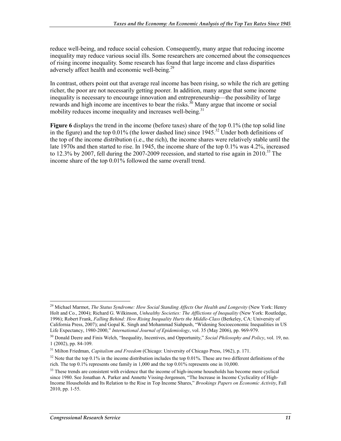reduce well-being, and reduce social cohesion. Consequently, many argue that reducing income inequality may reduce various social ills. Some researchers are concerned about the consequences of rising income inequality. Some research has found that large income and class disparities adversely affect health and economic well-being.<sup>29</sup>

In contrast, others point out that average real income has been rising, so while the rich are getting richer, the poor are not necessarily getting poorer. In addition, many argue that some income inequality is necessary to encourage innovation and entrepreneurship—the possibility of large rewards and high income are incentives to bear the risks.<sup>30</sup> Many argue that income or social mobility reduces income inequality and increases well-being.<sup>31</sup>

**Figure 6** displays the trend in the income (before taxes) share of the top 0.1% (the top solid line in the figure) and the top  $0.01\%$  (the lower dashed line) since  $1945.<sup>32</sup>$  Under both definitions of the top of the income distribution (i.e., the rich), the income shares were relatively stable until the late 1970s and then started to rise. In 1945, the income share of the top 0.1% was 4.2%, increased to 12.3% by 2007, fell during the 2007-2009 recession, and started to rise again in  $2010^{33}$  The income share of the top 0.01% followed the same overall trend.

<u>.</u>

<sup>29</sup> Michael Marmot, *The Status Syndrome: How Social Standing Affects Our Health and Longevity* (New York: Henry Holt and Co., 2004); Richard G. Wilkinson, *Unhealthy Societies: The Afflictions of Inequality* (New York: Routledge, 1996); Robert Frank, *Falling Behind: How Rising Inequality Hurts the Middle-Class* (Berkeley, CA: University of California Press, 2007); and Gopal K. Singh and Mohammad Siahpush, "Widening Socioeconomic Inequalities in US Life Expectancy, 1980-2000," *International Journal of Epidemiology*, vol. 35 (May 2006), pp. 969-979.

<sup>30</sup> Donald Deere and Finis Welch, "Inequality, Incentives, and Opportunity," *Social Philosophy and Policy*, vol. 19, no. 1 (2002), pp. 84-109.

<sup>31</sup> Milton Friedman, *Capitalism and Freedom* (Chicago: University of Chicago Press, 1962), p. 171.

 $32$  Note that the top 0.1% in the income distribution includes the top 0.01%. These are two different definitions of the rich. The top  $0.1\%$  represents one family in 1,000 and the top  $0.01\%$  represents one in 10,000.

<sup>&</sup>lt;sup>33</sup> These trends are consistent with evidence that the income of high-income households has become more cyclical since 1980. See Jonathan A. Parker and Annette Vissing-Jorgensen, "The Increase in Income Cyclicality of High-Income Households and Its Relation to the Rise in Top Income Shares," *Brookings Papers on Economic Activity*, Fall 2010, pp. 1-55.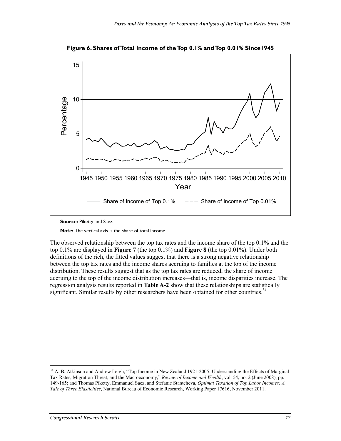

**Figure 6. Shares of Total Income of the Top 0.1% and Top 0.01% Since1945** 

**Source:** Piketty and Saez.

**Note:** The vertical axis is the share of total income.

The observed relationship between the top tax rates and the income share of the top 0.1% and the top 0.1% are displayed in **Figure 7** (the top 0.1%) and **Figure 8** (the top 0.01%). Under both definitions of the rich, the fitted values suggest that there is a strong negative relationship between the top tax rates and the income shares accruing to families at the top of the income distribution. These results suggest that as the top tax rates are reduced, the share of income accruing to the top of the income distribution increases—that is, income disparities increase. The regression analysis results reported in **Table A-2** show that these relationships are statistically significant. Similar results by other researchers have been obtained for other countries.<sup>34</sup>

<sup>&</sup>lt;sup>34</sup> A. B. Atkinson and Andrew Leigh, "Top Income in New Zealand 1921-2005: Understanding the Effects of Marginal Tax Rates, Migration Threat, and the Macroeconomy," *Review of Income and Wealth*, vol. 54, no. 2 (June 2008), pp. 149-165; and Thomas Piketty, Emmanuel Saez, and Stefanie Stantcheva, *Optimal Taxation of Top Labor Incomes: A Tale of Three Elasticities*, National Bureau of Economic Research, Working Paper 17616, November 2011.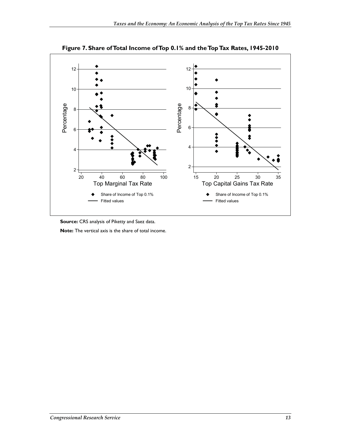

**Figure 7. Share of Total Income of Top 0.1% and the Top Tax Rates, 1945-2010** 

**Source:** CRS analysis of Piketty and Saez data.

**Note:** The vertical axis is the share of total income.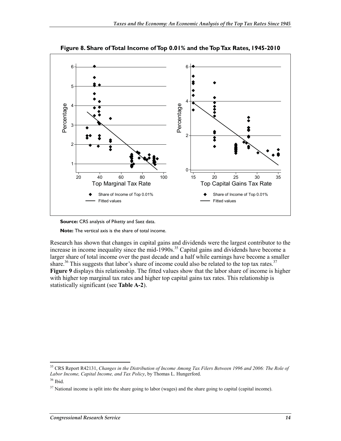

**Figure 8. Share of Total Income of Top 0.01% and the Top Tax Rates, 1945-2010** 



**Note:** The vertical axis is the share of total income.

Research has shown that changes in capital gains and dividends were the largest contributor to the increase in income inequality since the mid-1990s.<sup>35</sup> Capital gains and dividends have become a larger share of total income over the past decade and a half while earnings have become a smaller share.<sup>36</sup> This suggests that labor's share of income could also be related to the top tax rates.<sup>37</sup> **Figure 9** displays this relationship. The fitted values show that the labor share of income is higher with higher top marginal tax rates and higher top capital gains tax rates. This relationship is statistically significant (see **Table A-2**).

<sup>35</sup> CRS Report R42131, *Changes in the Distribution of Income Among Tax Filers Between 1996 and 2006: The Role of Labor Income, Capital Income, and Tax Policy*, by Thomas L. Hungerford.

<sup>36</sup> Ibid.

 $37$  National income is split into the share going to labor (wages) and the share going to capital (capital income).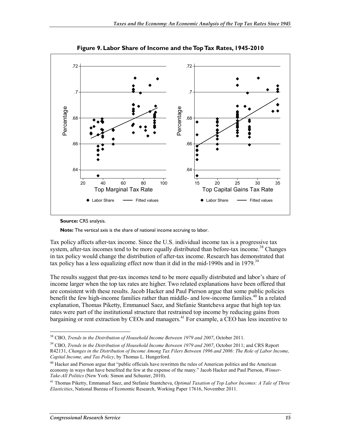

**Figure 9. Labor Share of Income and the Top Tax Rates, 1945-2010** 



**Note:** The vertical axis is the share of national income accruing to labor.

Tax policy affects after-tax income. Since the U.S. individual income tax is a progressive tax system, after-tax incomes tend to be more equally distributed than before-tax income.<sup>38</sup> Changes in tax policy would change the distribution of after-tax income. Research has demonstrated that tax policy has a less equalizing effect now than it did in the mid-1990s and in 1979.<sup>39</sup>

The results suggest that pre-tax incomes tend to be more equally distributed and labor's share of income larger when the top tax rates are higher. Two related explanations have been offered that are consistent with these results. Jacob Hacker and Paul Pierson argue that some public policies benefit the few high-income families rather than middle- and low-income families.<sup>40</sup> In a related explanation, Thomas Piketty, Emmanuel Saez, and Stefanie Stantcheva argue that high top tax rates were part of the institutional structure that restrained top income by reducing gains from bargaining or rent extraction by CEOs and managers.<sup>41</sup> For example, a CEO has less incentive to

<sup>38</sup> CBO, *Trends in the Distribution of Household Income Between 1979 and 2007*, October 2011.

<sup>39</sup> CBO, *Trends in the Distribution of Household Income Between 1979 and 2007*, October 2011; and CRS Report R42131, *Changes in the Distribution of Income Among Tax Filers Between 1996 and 2006: The Role of Labor Income, Capital Income, and Tax Policy*, by Thomas L. Hungerford.

<sup>&</sup>lt;sup>40</sup> Hacker and Pierson argue that "public officials have rewritten the rules of American politics and the American economy in ways that have benefited the few at the expense of the many." Jacob Hacker and Paul Pierson, *Winner-Take-All Politics* (New York: Simon and Schuster, 2010).

<sup>41</sup> Thomas Piketty, Emmanuel Saez, and Stefanie Stantcheva, *Optimal Taxation of Top Labor Incomes: A Tale of Three Elasticities*, National Bureau of Economic Research, Working Paper 17616, November 2011.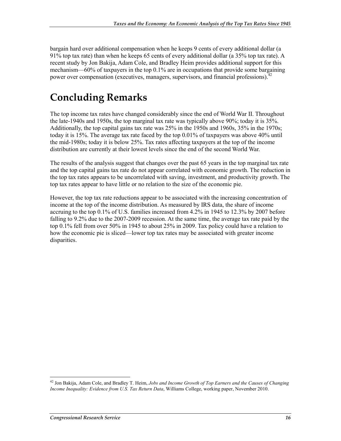bargain hard over additional compensation when he keeps 9 cents of every additional dollar (a 91% top tax rate) than when he keeps 65 cents of every additional dollar (a 35% top tax rate). A recent study by Jon Bakija, Adam Cole, and Bradley Heim provides additional support for this mechanism—60% of taxpayers in the top 0.1% are in occupations that provide some bargaining power over compensation (executives, managers, supervisors, and financial professions).<sup>42</sup>

### **Concluding Remarks**

The top income tax rates have changed considerably since the end of World War II. Throughout the late-1940s and 1950s, the top marginal tax rate was typically above 90%; today it is 35%. Additionally, the top capital gains tax rate was 25% in the 1950s and 1960s, 35% in the 1970s; today it is 15%. The average tax rate faced by the top 0.01% of taxpayers was above 40% until the mid-1980s; today it is below 25%. Tax rates affecting taxpayers at the top of the income distribution are currently at their lowest levels since the end of the second World War.

The results of the analysis suggest that changes over the past 65 years in the top marginal tax rate and the top capital gains tax rate do not appear correlated with economic growth. The reduction in the top tax rates appears to be uncorrelated with saving, investment, and productivity growth. The top tax rates appear to have little or no relation to the size of the economic pie.

However, the top tax rate reductions appear to be associated with the increasing concentration of income at the top of the income distribution. As measured by IRS data, the share of income accruing to the top 0.1% of U.S. families increased from 4.2% in 1945 to 12.3% by 2007 before falling to 9.2% due to the 2007-2009 recession. At the same time, the average tax rate paid by the top 0.1% fell from over 50% in 1945 to about 25% in 2009. Tax policy could have a relation to how the economic pie is sliced—lower top tax rates may be associated with greater income disparities.

<sup>42</sup> Jon Bakija, Adam Cole, and Bradley T. Heim, *Jobs and Income Growth of Top Earners and the Causes of Changing Income Inequality: Evidence from U.S. Tax Return Data*, Williams College, working paper, November 2010.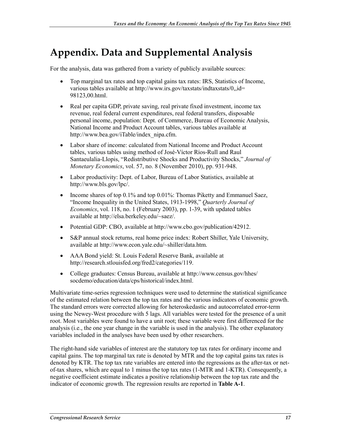## **Appendix. Data and Supplemental Analysis**

For the analysis, data was gathered from a variety of publicly available sources:

- Top marginal tax rates and top capital gains tax rates: IRS, Statistics of Income, various tables available at http://www.irs.gov/taxstats/indtaxstats/0,,id= 98123,00.html.
- Real per capita GDP, private saving, real private fixed investment, income tax revenue, real federal current expenditures, real federal transfers, disposable personal income, population: Dept. of Commerce, Bureau of Economic Analysis, National Income and Product Account tables, various tables available at http://www.bea.gov/iTable/index\_nipa.cfm.
- Labor share of income: calculated from National Income and Product Account tables, various tables using method of José-Víctor Ríos-Rull and Raul Santaeulalia-Llopis, "Redistributive Shocks and Productivity Shocks," *Journal of Monetary Economics*, vol. 57, no. 8 (November 2010), pp. 931-948.
- Labor productivity: Dept. of Labor, Bureau of Labor Statistics, available at http://www.bls.gov/lpc/.
- Income shares of top 0.1% and top 0.01%: Thomas Piketty and Emmanuel Saez, "Income Inequality in the United States, 1913-1998," *Quarterly Journal of Economics*, vol. 118, no. 1 (February 2003), pp. 1-39, with updated tables available at http://elsa.berkeley.edu/~saez/.
- Potential GDP: CBO, available at http://www.cbo.gov/publication/42912.
- S&P annual stock returns, real home price index: Robert Shiller, Yale University, available at http://www.econ.yale.edu/~shiller/data.htm.
- AAA Bond yield: St. Louis Federal Reserve Bank, available at http://research.stlouisfed.org/fred2/categories/119.
- College graduates: Census Bureau, available at http://www.census.gov/hhes/ socdemo/education/data/cps/historical/index.html.

Multivariate time-series regression techniques were used to determine the statistical significance of the estimated relation between the top tax rates and the various indicators of economic growth. The standard errors were corrected allowing for heteroskedastic and autocorrelated error-term using the Newey-West procedure with 5 lags. All variables were tested for the presence of a unit root. Most variables were found to have a unit root; these variable were first differenced for the analysis (i.e., the one year change in the variable is used in the analysis). The other explanatory variables included in the analyses have been used by other researchers.

The right-hand side variables of interest are the statutory top tax rates for ordinary income and capital gains. The top marginal tax rate is denoted by MTR and the top capital gains tax rates is denoted by KTR. The top tax rate variables are entered into the regressions as the after-tax or netof-tax shares, which are equal to 1 minus the top tax rates (1-MTR and 1-KTR). Consequently, a negative coefficient estimate indicates a positive relationship between the top tax rate and the indicator of economic growth. The regression results are reported in **Table A-1**.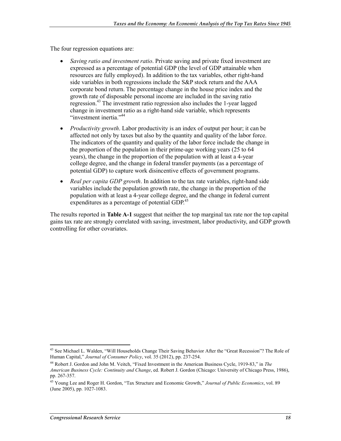The four regression equations are:

- *Saving ratio and investment ratio*. Private saving and private fixed investment are expressed as a percentage of potential GDP (the level of GDP attainable when resources are fully employed). In addition to the tax variables, other right-hand side variables in both regressions include the S&P stock return and the AAA corporate bond return. The percentage change in the house price index and the growth rate of disposable personal income are included in the saving ratio regression.43 The investment ratio regression also includes the 1-year lagged change in investment ratio as a right-hand side variable, which represents "investment inertia."<sup>44</sup>
- *Productivity growth*. Labor productivity is an index of output per hour; it can be affected not only by taxes but also by the quantity and quality of the labor force. The indicators of the quantity and quality of the labor force include the change in the proportion of the population in their prime-age working years (25 to 64 years), the change in the proportion of the population with at least a 4-year college degree, and the change in federal transfer payments (as a percentage of potential GDP) to capture work disincentive effects of government programs.
- *Real per capita GDP growth*. In addition to the tax rate variables, right-hand side variables include the population growth rate, the change in the proportion of the population with at least a 4-year college degree, and the change in federal current expenditures as a percentage of potential GDP.<sup>45</sup>

The results reported in **Table A-1** suggest that neither the top marginal tax rate nor the top capital gains tax rate are strongly correlated with saving, investment, labor productivity, and GDP growth controlling for other covariates.

<sup>&</sup>lt;sup>43</sup> See Michael L. Walden, "Will Households Change Their Saving Behavior After the "Great Recession"? The Role of Human Capital," *Journal of Consumer Policy*, vol. 35 (2012), pp. 237-254.

<sup>44</sup> Robert J. Gordon and John M. Veitch, "Fixed Investment in the American Business Cycle, 1919-83," in *The American Business Cycle: Continuity and Change*, ed. Robert J. Gordon (Chicago: University of Chicago Press, 1986), pp. 267-357.

<sup>45</sup> Young Lee and Roger H. Gordon, "Tax Structure and Economic Growth," *Journal of Public Economics*, vol. 89 (June 2005), pp. 1027-1083.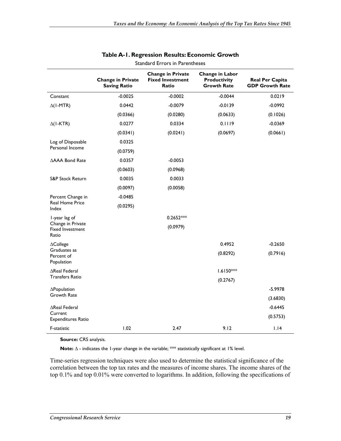|                                                       | <b>Change in Private</b><br><b>Saving Ratio</b> | <b>Change in Private</b><br><b>Fixed Investment</b><br>Ratio | <b>Change in Labor</b><br><b>Productivity</b><br><b>Growth Rate</b> | <b>Real Per Capita</b><br><b>GDP Growth Rate</b> |
|-------------------------------------------------------|-------------------------------------------------|--------------------------------------------------------------|---------------------------------------------------------------------|--------------------------------------------------|
| Constant                                              | $-0.0025$                                       | $-0.0002$                                                    | $-0.0044$                                                           | 0.0219                                           |
| $\Delta$ (I-MTR)                                      | 0.0442                                          | $-0.0079$                                                    | $-0.0139$                                                           | $-0.0992$                                        |
|                                                       | (0.0366)                                        | (0.0280)                                                     | (0.0633)                                                            | (0.1026)                                         |
| $\Delta$ (I-KTR)                                      | 0.0277                                          | 0.0334                                                       | 0.1119                                                              | $-0.0369$                                        |
|                                                       | (0.0341)                                        | (0.0241)                                                     | (0.0697)                                                            | (0.0661)                                         |
| Log of Disposable                                     | 0.0325                                          |                                                              |                                                                     |                                                  |
| Personal Income                                       | (0.0759)                                        |                                                              |                                                                     |                                                  |
| ∆AAA Bond Rate                                        | 0.0357                                          | $-0.0053$                                                    |                                                                     |                                                  |
|                                                       | (0.0603)                                        | (0.0968)                                                     |                                                                     |                                                  |
| S&P Stock Return                                      | 0.0035                                          | 0.0033                                                       |                                                                     |                                                  |
|                                                       | (0.0097)                                        | (0.0058)                                                     |                                                                     |                                                  |
| Percent Change in                                     | $-0.0485$                                       |                                                              |                                                                     |                                                  |
| <b>Real Home Price</b><br>Index                       | (0.0295)                                        |                                                              |                                                                     |                                                  |
| I-year lag of                                         |                                                 | $0.2652***$                                                  |                                                                     |                                                  |
| Change in Private<br><b>Fixed Investment</b><br>Ratio |                                                 | (0.0979)                                                     |                                                                     |                                                  |
| $\Delta$ College                                      |                                                 |                                                              | 0.4952                                                              | $-0.2650$                                        |
| Graduates as<br>Percent of<br>Population              |                                                 |                                                              | (0.8292)                                                            | (0.7916)                                         |
| $\Delta$ Real Federal                                 |                                                 |                                                              | $1.6150***$                                                         |                                                  |
| <b>Transfers Ratio</b>                                |                                                 |                                                              | (0.2767)                                                            |                                                  |
| $\Delta$ Population                                   |                                                 |                                                              |                                                                     | $-5.9978$                                        |
| <b>Growth Rate</b>                                    |                                                 |                                                              |                                                                     | (3.6830)                                         |
| ∆Real Federal                                         |                                                 |                                                              |                                                                     | $-0.6445$                                        |
| Current<br>Expenditures Ratio                         |                                                 |                                                              |                                                                     | (0.5753)                                         |
| F-statistic                                           | 1.02                                            | 2.47                                                         | 9.12                                                                | 1.14                                             |

#### **Table A-1. Regression Results: Economic Growth**  Standard Errors in Parentheses

**Source:** CRS analysis.

Note: ∆ - indicates the 1-year change in the variable; \*\*\* statistically significant at 1% level.

Time-series regression techniques were also used to determine the statistical significance of the correlation between the top tax rates and the measures of income shares. The income shares of the top 0.1% and top 0.01% were converted to logarithms. In addition, following the specifications of